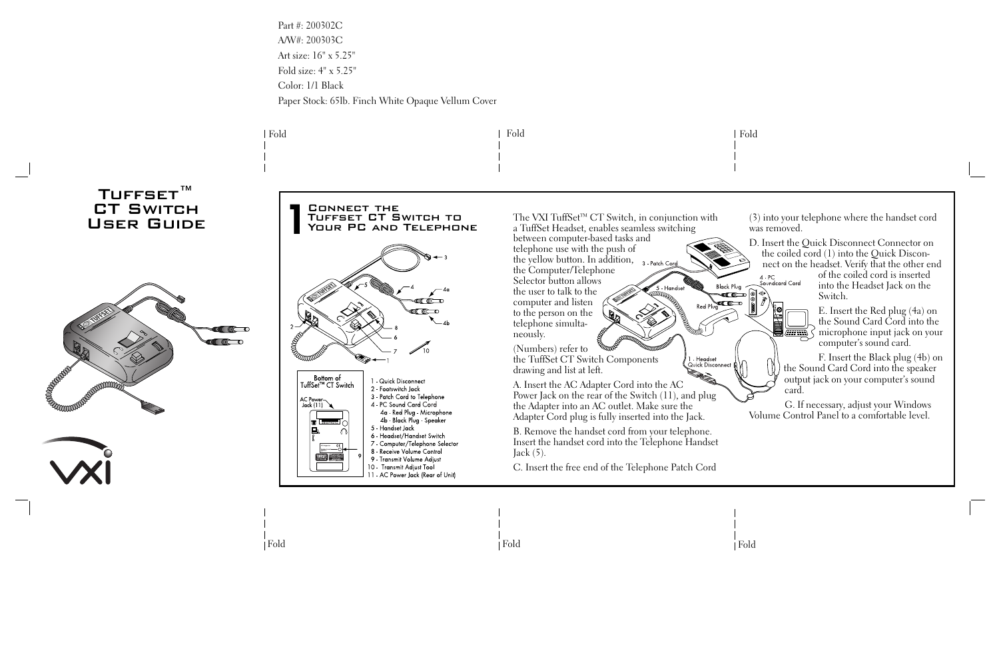Fold

Fold

4 PC<br>Soundcard Cord

Fold

Part #: 200302C A/W#: 200303C Art size: 16" x 5.25" Fold size: 4" x 5.25" Color: 1/1 Black Paper Stock: 65lb. Finch White Opaque Vellum Cover



(3) into your telephone where the handset cord was removed.

D. Insert the Quick Disconnect Connector on the coiled cord (1) into the Quick Disconnect on the headset. Verify that the other end

> of the coiled cord is inserted into the Headset Jack on the Switch.

E. Insert the Red plug (4a) on the Sound Card Cord into the  $\sum_{n=1}^{\infty}$  microphone input jack on your computer's sound card.

F. Insert the Black plug (4b) on the Sound Card Cord into the speaker output jack on your computer's sound card.

G. If necessary, adjust your Windows Volume Control Panel to a comfortable level.